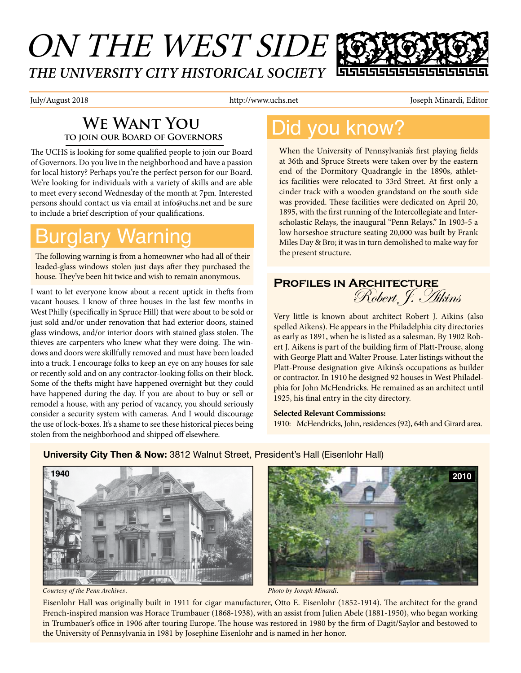### ON THE WEST SIDE *THE UNIVERSITY CITY HISTORICAL SOCIETY* 66666666

July/August 2018 **http://www.uchs.net** Joseph Minardi, Editor Joseph Minardi, Editor I

### **We Want You to join our Board of Governors**

The UCHS is looking for some qualified people to join our Board of Governors. Do you live in the neighborhood and have a passion for local history? Perhaps you're the perfect person for our Board. We're looking for individuals with a variety of skills and are able to meet every second Wednesday of the month at 7pm. Interested persons should contact us via email at info@uchs.net and be sure to include a brief description of your qualifications.

## urglary Warning

The following warning is from a homeowner who had all of their leaded-glass windows stolen just days after they purchased the house. They've been hit twice and wish to remain anonymous.

I want to let everyone know about a recent uptick in thefts from vacant houses. I know of three houses in the last few months in West Philly (specifically in Spruce Hill) that were about to be sold or just sold and/or under renovation that had exterior doors, stained glass windows, and/or interior doors with stained glass stolen. The thieves are carpenters who knew what they were doing. The windows and doors were skillfully removed and must have been loaded into a truck. I encourage folks to keep an eye on any houses for sale or recently sold and on any contractor-looking folks on their block. Some of the thefts might have happened overnight but they could have happened during the day. If you are about to buy or sell or remodel a house, with any period of vacancy, you should seriously consider a security system with cameras. And I would discourage the use of lock-boxes. It's a shame to see these historical pieces being stolen from the neighborhood and shipped off elsewhere.

### Did you know?

When the University of Pennsylvania's first playing fields at 36th and Spruce Streets were taken over by the eastern end of the Dormitory Quadrangle in the 1890s, athletics facilities were relocated to 33rd Street. At first only a cinder track with a wooden grandstand on the south side was provided. These facilities were dedicated on April 20, 1895, with the first running of the Intercollegiate and Interscholastic Relays, the inaugural "Penn Relays." In 1903-5 a low horseshoe structure seating 20,000 was built by Frank Miles Day & Bro; it was in turn demolished to make way for the present structure.

### **Profiles in Architecture** Robert, J. Hikins

Very little is known about architect Robert J. Aikins (also spelled Aikens). He appears in the Philadelphia city directories as early as 1891, when he is listed as a salesman. By 1902 Robert J. Aikens is part of the building firm of Platt-Prouse, along with George Platt and Walter Prouse. Later listings without the Platt-Prouse designation give Aikins's occupations as builder or contractor. In 1910 he designed 92 houses in West Philadelphia for John McHendricks. He remained as an architect until 1925, his final entry in the city directory.

#### **Selected Relevant Commissions:**

1910: McHendricks, John, residences (92), 64th and Girard area.



### **University City Then & Now:** 3812 Walnut Street, President's Hall (Eisenlohr Hall)



*Courtesy of the Penn Archives. Photo by Joseph Minardi.*

Eisenlohr Hall was originally built in 1911 for cigar manufacturer, Otto E. Eisenlohr (1852-1914). The architect for the grand French-inspired mansion was Horace Trumbauer (1868-1938), with an assist from Julien Abele (1881-1950), who began working in Trumbauer's office in 1906 after touring Europe. The house was restored in 1980 by the firm of Dagit/Saylor and bestowed to the University of Pennsylvania in 1981 by Josephine Eisenlohr and is named in her honor.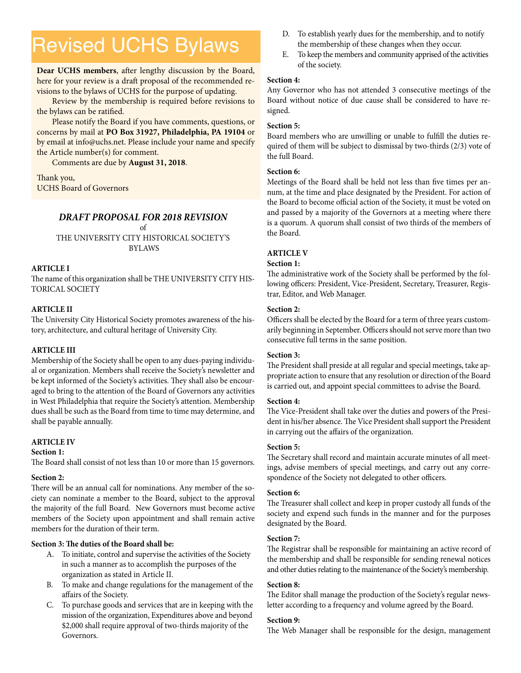## Revised UCHS Bylaws

**Dear UCHS members**, after lengthy discussion by the Board, here for your review is a draft proposal of the recommended revisions to the bylaws of UCHS for the purpose of updating.

Review by the membership is required before revisions to the bylaws can be ratified.

Please notify the Board if you have comments, questions, or concerns by mail at **PO Box 31927, Philadelphia, PA 19104** or by email at info@uchs.net. Please include your name and specify the Article number(s) for comment.

Comments are due by **August 31, 2018**.

Thank you, UCHS Board of Governors

#### *DRAFT PROPOSAL FOR 2018 REVISION*

of THE UNIVERSITY CITY HISTORICAL SOCIETY'S BYLAWS

#### **ARTICLE I**

The name of this organization shall be THE UNIVERSITY CITY HIS-TORICAL SOCIETY

#### **ARTICLE II**

The University City Historical Society promotes awareness of the history, architecture, and cultural heritage of University City.

#### **ARTICLE III**

Membership of the Society shall be open to any dues-paying individual or organization. Members shall receive the Society's newsletter and be kept informed of the Society's activities. They shall also be encouraged to bring to the attention of the Board of Governors any activities in West Philadelphia that require the Society's attention. Membership dues shall be such as the Board from time to time may determine, and shall be payable annually.

#### **ARTICLE IV**

#### **Section 1:**

The Board shall consist of not less than 10 or more than 15 governors.

#### **Section 2:**

There will be an annual call for nominations. Any member of the society can nominate a member to the Board, subject to the approval the majority of the full Board. New Governors must become active members of the Society upon appointment and shall remain active members for the duration of their term.

#### **Section 3: The duties of the Board shall be:**

- A. To initiate, control and supervise the activities of the Society in such a manner as to accomplish the purposes of the organization as stated in Article II.
- B. To make and change regulations for the management of the affairs of the Society.
- C. To purchase goods and services that are in keeping with the mission of the organization, Expenditures above and beyond \$2,000 shall require approval of two-thirds majority of the Governors.
- D. To establish yearly dues for the membership, and to notify the membership of these changes when they occur.
- E. To keep the members and community apprised of the activities of the society.

#### **Section 4:**

Any Governor who has not attended 3 consecutive meetings of the Board without notice of due cause shall be considered to have resigned.

#### **Section 5:**

Board members who are unwilling or unable to fulfill the duties required of them will be subject to dismissal by two-thirds (2/3) vote of the full Board.

#### **Section 6:**

Meetings of the Board shall be held not less than five times per annum, at the time and place designated by the President. For action of the Board to become official action of the Society, it must be voted on and passed by a majority of the Governors at a meeting where there is a quorum. A quorum shall consist of two thirds of the members of the Board.

#### **ARTICLE V**

#### **Section 1:**

The administrative work of the Society shall be performed by the following officers: President, Vice-President, Secretary, Treasurer, Registrar, Editor, and Web Manager.

#### **Section 2:**

Officers shall be elected by the Board for a term of three years customarily beginning in September. Officers should not serve more than two consecutive full terms in the same position.

#### **Section 3:**

The President shall preside at all regular and special meetings, take appropriate action to ensure that any resolution or direction of the Board is carried out, and appoint special committees to advise the Board.

#### **Section 4:**

The Vice-President shall take over the duties and powers of the President in his/her absence. The Vice President shall support the President in carrying out the affairs of the organization.

#### **Section 5:**

The Secretary shall record and maintain accurate minutes of all meetings, advise members of special meetings, and carry out any correspondence of the Society not delegated to other officers.

#### **Section 6:**

The Treasurer shall collect and keep in proper custody all funds of the society and expend such funds in the manner and for the purposes designated by the Board.

#### **Section 7:**

The Registrar shall be responsible for maintaining an active record of the membership and shall be responsible for sending renewal notices and other duties relating to the maintenance of the Society's membership.

#### **Section 8:**

The Editor shall manage the production of the Society's regular newsletter according to a frequency and volume agreed by the Board.

#### **Section 9:**

The Web Manager shall be responsible for the design, management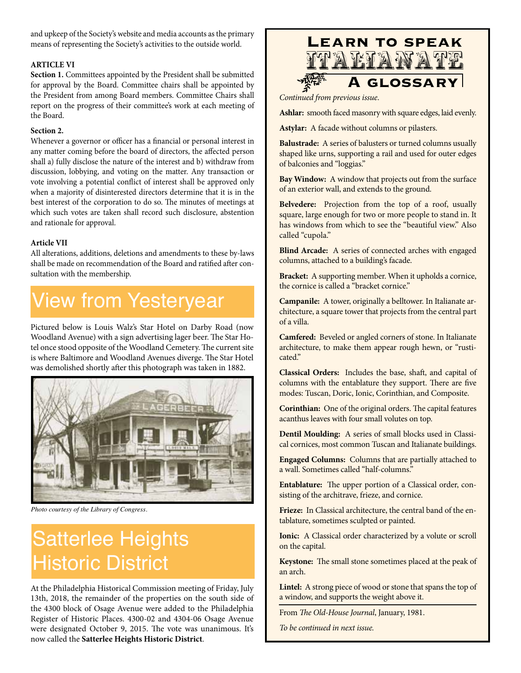and upkeep of the Society's website and media accounts as the primary means of representing the Society's activities to the outside world.

#### **ARTICLE VI**

**Section 1.** Committees appointed by the President shall be submitted for approval by the Board. Committee chairs shall be appointed by the President from among Board members. Committee Chairs shall report on the progress of their committee's work at each meeting of the Board.

#### **Section 2.**

Whenever a governor or officer has a financial or personal interest in any matter coming before the board of directors, the affected person shall a) fully disclose the nature of the interest and b) withdraw from discussion, lobbying, and voting on the matter. Any transaction or vote involving a potential conflict of interest shall be approved only when a majority of disinterested directors determine that it is in the best interest of the corporation to do so. The minutes of meetings at which such votes are taken shall record such disclosure, abstention and rationale for approval.

#### **Article VII**

All alterations, additions, deletions and amendments to these by-laws shall be made on recommendation of the Board and ratified after consultation with the membership.

## View from Yesteryear

Pictured below is Louis Walz's Star Hotel on Darby Road (now Woodland Avenue) with a sign advertising lager beer. The Star Hotel once stood opposite of the Woodland Cemetery. The current site is where Baltimore and Woodland Avenues diverge. The Star Hotel was demolished shortly after this photograph was taken in 1882.



*Photo courtesy of the Library of Congress.*

## Satterlee Heights Historic District

At the Philadelphia Historical Commission meeting of Friday, July 13th, 2018, the remainder of the properties on the south side of the 4300 block of Osage Avenue were added to the Philadelphia Register of Historic Places. 4300-02 and 4304-06 Osage Avenue were designated October 9, 2015. The vote was unanimous. It's now called the **Satterlee Heights Historic District**.



*Continued from previous issue*.

**Ashlar:** smooth faced masonry with square edges, laid evenly.

**Astylar:** A facade without columns or pilasters.

**Balustrade:** A series of balusters or turned columns usually shaped like urns, supporting a rail and used for outer edges of balconies and "loggias."

**Bay Window:** A window that projects out from the surface of an exterior wall, and extends to the ground.

**Belvedere:** Projection from the top of a roof, usually square, large enough for two or more people to stand in. It has windows from which to see the "beautiful view." Also called "cupola."

**Blind Arcade:** A series of connected arches with engaged columns, attached to a building's facade.

**Bracket:** A supporting member. When it upholds a cornice, the cornice is called a "bracket cornice."

**Campanile:** A tower, originally a belltower. In Italianate architecture, a square tower that projects from the central part of a villa.

**Camfered:** Beveled or angled corners of stone. In Italianate architecture, to make them appear rough hewn, or "rusticated."

**Classical Orders:** Includes the base, shaft, and capital of columns with the entablature they support. There are five modes: Tuscan, Doric, Ionic, Corinthian, and Composite.

**Corinthian:** One of the original orders. The capital features acanthus leaves with four small volutes on top.

**Dentil Moulding:** A series of small blocks used in Classical cornices, most common Tuscan and Italianate buildings.

**Engaged Columns:** Columns that are partially attached to a wall. Sometimes called "half-columns."

**Entablature:** The upper portion of a Classical order, consisting of the architrave, frieze, and cornice.

**Frieze:** In Classical architecture, the central band of the entablature, sometimes sculpted or painted.

**Ionic:** A Classical order characterized by a volute or scroll on the capital.

**Keystone:** The small stone sometimes placed at the peak of an arch.

**Lintel:** A strong piece of wood or stone that spans the top of a window, and supports the weight above it.

From *The Old-House Journal*, January, 1981.

*To be continued in next issue.*